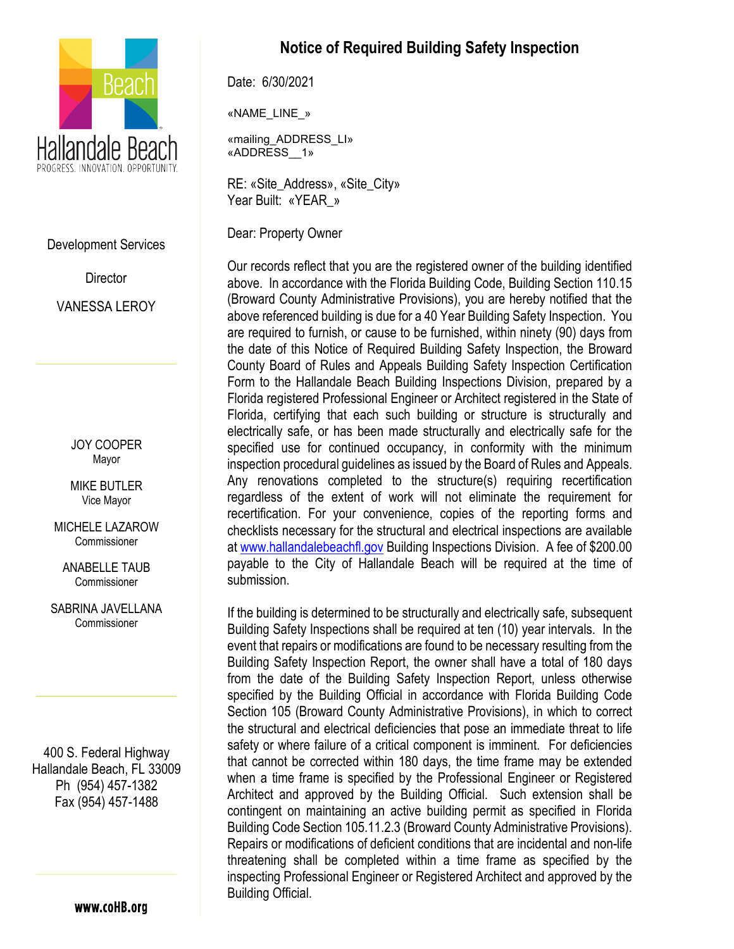

Development Services

**Director** VANESSA LEROY

> JOY COOPER Mayor

MIKE BUTLER Vice Mayor

MICHELE LAZAROW Commissioner

ANABELLE TAUB Commissioner

SABRINA JAVELLANA Commissioner

400 S. Federal Highway Hallandale Beach, FL 33009 Ph (954) 457-1382 Fax (954) 457-1488

www.coHB.org

## **Notice of Required Building Safety Inspection**

Date: 6/30/2021

«NAME\_LINE\_»

«mailing\_ADDRESS\_LI» «ADDRESS\_\_1»

RE: «Site\_Address», «Site\_City» Year Built: «YEAR\_»

Dear: Property Owner

Our records reflect that you are the registered owner of the building identified above. In accordance with the Florida Building Code, Building Section 110.15 (Broward County Administrative Provisions), you are hereby notified that the above referenced building is due for a 40 Year Building Safety Inspection. You are required to furnish, or cause to be furnished, within ninety (90) days from the date of this Notice of Required Building Safety Inspection, the Broward County Board of Rules and Appeals Building Safety Inspection Certification Form to the Hallandale Beach Building Inspections Division, prepared by a Florida registered Professional Engineer or Architect registered in the State of Florida, certifying that each such building or structure is structurally and electrically safe, or has been made structurally and electrically safe for the specified use for continued occupancy, in conformity with the minimum inspection procedural guidelines as issued by the Board of Rules and Appeals. Any renovations completed to the structure(s) requiring recertification regardless of the extent of work will not eliminate the requirement for recertification. For your convenience, copies of the reporting forms and checklists necessary for the structural and electrical inspections are available at [www.hallandalebeachfl.gov](http://www.hallandalebeachfl.gov/) Building Inspections Division. A fee of \$200.00 payable to the City of Hallandale Beach will be required at the time of submission.

If the building is determined to be structurally and electrically safe, subsequent Building Safety Inspections shall be required at ten (10) year intervals. In the event that repairs or modifications are found to be necessary resulting from the Building Safety Inspection Report, the owner shall have a total of 180 days from the date of the Building Safety Inspection Report, unless otherwise specified by the Building Official in accordance with Florida Building Code Section 105 (Broward County Administrative Provisions), in which to correct the structural and electrical deficiencies that pose an immediate threat to life safety or where failure of a critical component is imminent. For deficiencies that cannot be corrected within 180 days, the time frame may be extended when a time frame is specified by the Professional Engineer or Registered Architect and approved by the Building Official. Such extension shall be contingent on maintaining an active building permit as specified in Florida Building Code Section 105.11.2.3 (Broward County Administrative Provisions). Repairs or modifications of deficient conditions that are incidental and non-life threatening shall be completed within a time frame as specified by the inspecting Professional Engineer or Registered Architect and approved by the Building Official.